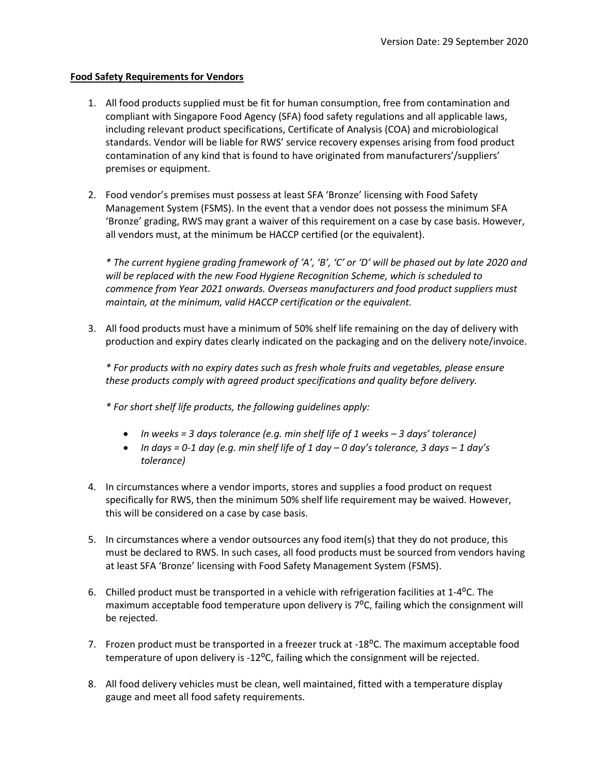## **Food Safety Requirements for Vendors**

- 1. All food products supplied must be fit for human consumption, free from contamination and compliant with Singapore Food Agency (SFA) food safety regulations and all applicable laws, including relevant product specifications, Certificate of Analysis (COA) and microbiological standards. Vendor will be liable for RWS' service recovery expenses arising from food product contamination of any kind that is found to have originated from manufacturers'/suppliers' premises or equipment.
- 2. Food vendor's premises must possess at least SFA 'Bronze' licensing with Food Safety Management System (FSMS). In the event that a vendor does not possess the minimum SFA 'Bronze' grading, RWS may grant a waiver of this requirement on a case by case basis. However, all vendors must, at the minimum be HACCP certified (or the equivalent).

*\* The current hygiene grading framework of 'A', 'B', 'C' or 'D' will be phased out by late 2020 and will be replaced with the new Food Hygiene Recognition Scheme, which is scheduled to commence from Year 2021 onwards. Overseas manufacturers and food product suppliers must maintain, at the minimum, valid HACCP certification or the equivalent.*

3. All food products must have a minimum of 50% shelf life remaining on the day of delivery with production and expiry dates clearly indicated on the packaging and on the delivery note/invoice.

*\* For products with no expiry dates such as fresh whole fruits and vegetables, please ensure these products comply with agreed product specifications and quality before delivery.*

*\* For short shelf life products, the following guidelines apply:*

- *In weeks = 3 days tolerance (e.g. min shelf life of 1 weeks – 3 days' tolerance)*
- *In days = 0-1 day (e.g. min shelf life of 1 day – 0 day's tolerance, 3 days – 1 day's tolerance)*
- 4. In circumstances where a vendor imports, stores and supplies a food product on request specifically for RWS, then the minimum 50% shelf life requirement may be waived. However, this will be considered on a case by case basis.
- 5. In circumstances where a vendor outsources any food item(s) that they do not produce, this must be declared to RWS. In such cases, all food products must be sourced from vendors having at least SFA 'Bronze' licensing with Food Safety Management System (FSMS).
- 6. Chilled product must be transported in a vehicle with refrigeration facilities at  $1-4$ <sup>o</sup>C. The maximum acceptable food temperature upon delivery is 7<sup>o</sup>C, failing which the consignment will be rejected.
- 7. Frozen product must be transported in a freezer truck at -18<sup>o</sup>C. The maximum acceptable food temperature of upon delivery is -12 $^{\circ}$ C, failing which the consignment will be rejected.
- 8. All food delivery vehicles must be clean, well maintained, fitted with a temperature display gauge and meet all food safety requirements.